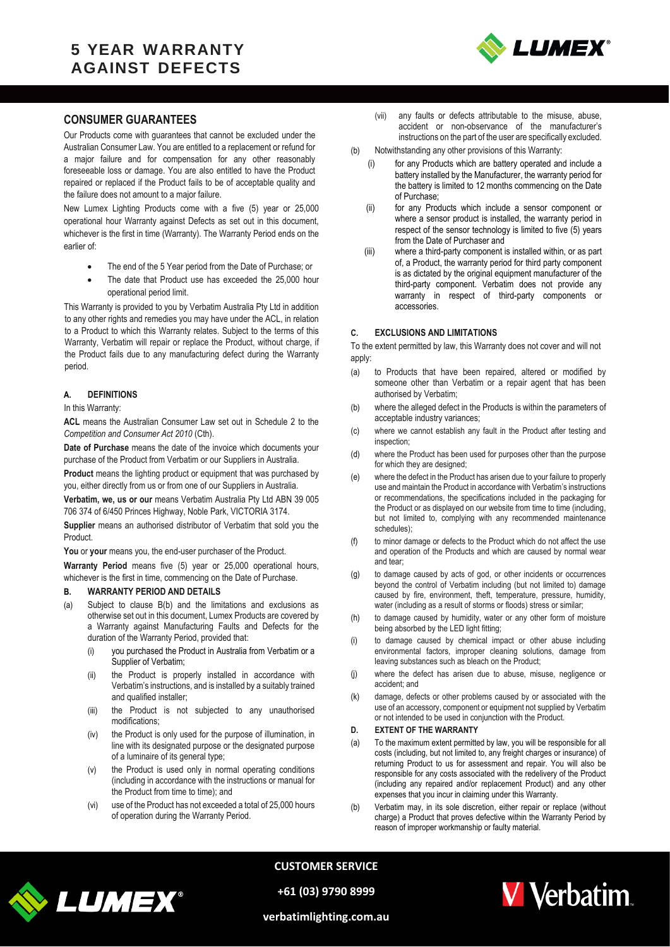## **5 YEAR WARRANTY AGAINST DEFECTS**



### **CONSUMER GUARANTEES**

Our Products come with guarantees that cannot be excluded under the Australian Consumer Law. You are entitled to a replacement or refund for a major failure and for compensation for any other reasonably foreseeable loss or damage. You are also entitled to have the Product repaired or replaced if the Product fails to be of acceptable quality and the failure does not amount to a major failure.

New Lumex Lighting Products come with a five (5) year or 25,000 operational hour Warranty against Defects as set out in this document, whichever is the first in time (Warranty). The Warranty Period ends on the earlier of:

- The end of the 5 Year period from the Date of Purchase; or
- The date that Product use has exceeded the 25,000 hour operational period limit.

This Warranty is provided to you by Verbatim Australia Pty Ltd in addition to any other rights and remedies you may have under the ACL, in relation to a Product to which this Warranty relates. Subject to the terms of this Warranty, Verbatim will repair or replace the Product, without charge, if the Product fails due to any manufacturing defect during the Warranty period.

#### **A. DEFINITIONS**

#### In this Warranty:

**ACL** means the Australian Consumer Law set out in Schedule 2 to the *Competition and Consumer Act 2010* (Cth).

**Date of Purchase** means the date of the invoice which documents your purchase of the Product from Verbatim or our Suppliers in Australia.

**Product** means the lighting product or equipment that was purchased by you, either directly from us or from one of our Suppliers in Australia.

**Verbatim, we, us or our** means Verbatim Australia Pty Ltd ABN 39 005 706 374 of 6/450 Princes Highway, Noble Park, VICTORIA 3174.

**Supplier** means an authorised distributor of Verbatim that sold you the Product.

You or your means you, the end-user purchaser of the Product.

**Warranty Period** means five (5) year or 25,000 operational hours, whichever is the first in time, commencing on the Date of Purchase.

#### <span id="page-0-0"></span>**B. WARRANTY PERIOD AND DETAILS**

- (a) Subject to clause [B\(b\)](#page-0-0) and the limitations and exclusions as otherwise set out in this document, Lumex Products are covered by a Warranty against Manufacturing Faults and Defects for the duration of the Warranty Period, provided that:
	- (i) you purchased the Product in Australia from Verbatim or a Supplier of Verbatim;
	- (ii) the Product is properly installed in accordance with Verbatim's instructions, and is installed by a suitably trained and qualified installer;
	- (iii) the Product is not subjected to any unauthorised modifications;
	- (iv) the Product is only used for the purpose of illumination, in line with its designated purpose or the designated purpose of a luminaire of its general type;
	- (v) the Product is used only in normal operating conditions (including in accordance with the instructions or manual for the Product from time to time); and
	- (vi) use of the Product has not exceeded a total of 25,000 hours of operation during the Warranty Period.
- (vii) any faults or defects attributable to the misuse, abuse, accident or non-observance of the manufacturer's instructions on the part of the user are specifically excluded.
- (b) Notwithstanding any other provisions of this Warranty:
	- for any Products which are battery operated and include a battery installed by the Manufacturer, the warranty period for the battery is limited to 12 months commencing on the Date of Purchase;
	- (ii) for any Products which include a sensor component or where a sensor product is installed, the warranty period in respect of the sensor technology is limited to five (5) years from the Date of Purchaser and
	- (iii) where a third-party component is installed within, or as part of, a Product, the warranty period for third party component is as dictated by the original equipment manufacturer of the third-party component. Verbatim does not provide any warranty in respect of third-party components or accessories.

#### **C. EXCLUSIONS AND LIMITATIONS**

To the extent permitted by law, this Warranty does not cover and will not apply:

- (a) to Products that have been repaired, altered or modified by someone other than Verbatim or a repair agent that has been authorised by Verbatim;
- (b) where the alleged defect in the Products is within the parameters of acceptable industry variances;
- (c) where we cannot establish any fault in the Product after testing and inspection;
- (d) where the Product has been used for purposes other than the purpose for which they are designed;
- (e) where the defect in the Product has arisen due to your failure to properly use and maintain the Product in accordance with Verbatim's instructions or recommendations, the specifications included in the packaging for the Product or as displayed on our website from time to time (including, but not limited to, complying with any recommended maintenance schedules);
- (f) to minor damage or defects to the Product which do not affect the use and operation of the Products and which are caused by normal wear and tear;
- (g) to damage caused by acts of god, or other incidents or occurrences beyond the control of Verbatim including (but not limited to) damage caused by fire, environment, theft, temperature, pressure, humidity, water (including as a result of storms or floods) stress or similar;
- (h) to damage caused by humidity, water or any other form of moisture being absorbed by the LED light fitting;
- (i) to damage caused by chemical impact or other abuse including environmental factors, improper cleaning solutions, damage from leaving substances such as bleach on the Product;
- (j) where the defect has arisen due to abuse, misuse, negligence or accident; and
- (k) damage, defects or other problems caused by or associated with the use of an accessory, component or equipment not supplied by Verbatim or not intended to be used in conjunction with the Product.

#### **D. EXTENT OF THE WARRANTY**

- (a) To the maximum extent permitted by law, you will be responsible for all costs (including, but not limited to, any freight charges or insurance) of returning Product to us for assessment and repair. You will also be responsible for any costs associated with the redelivery of the Product (including any repaired and/or replacement Product) and any other expenses that you incur in claiming under this Warranty.
- (b) Verbatim may, in its sole discretion, either repair or replace (without charge) a Product that proves defective within the Warranty Period by reason of improper workmanship or faulty material.



**CUSTOMER SERVICE**

**+61 (03) 9790 8999**



**verbatimlighting.com.au**